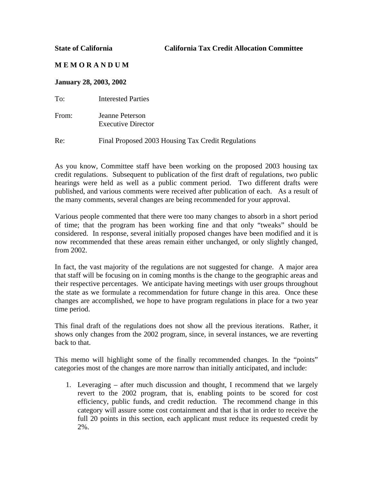**State of California California Tax Credit Allocation Committee** 

## **M E M O R A N D U M**

## **January 28, 2003, 2002**

To: Interested Parties

From: Jeanne Peterson Executive Director

Re: Final Proposed 2003 Housing Tax Credit Regulations

As you know, Committee staff have been working on the proposed 2003 housing tax credit regulations. Subsequent to publication of the first draft of regulations, two public hearings were held as well as a public comment period. Two different drafts were published, and various comments were received after publication of each. As a result of the many comments, several changes are being recommended for your approval.

Various people commented that there were too many changes to absorb in a short period of time; that the program has been working fine and that only "tweaks" should be considered. In response, several initially proposed changes have been modified and it is now recommended that these areas remain either unchanged, or only slightly changed, from 2002.

In fact, the vast majority of the regulations are not suggested for change. A major area that staff will be focusing on in coming months is the change to the geographic areas and their respective percentages. We anticipate having meetings with user groups throughout the state as we formulate a recommendation for future change in this area. Once these changes are accomplished, we hope to have program regulations in place for a two year time period.

This final draft of the regulations does not show all the previous iterations. Rather, it shows only changes from the 2002 program, since, in several instances, we are reverting back to that.

This memo will highlight some of the finally recommended changes. In the "points" categories most of the changes are more narrow than initially anticipated, and include:

1. Leveraging – after much discussion and thought, I recommend that we largely revert to the 2002 program, that is, enabling points to be scored for cost efficiency, public funds, and credit reduction. The recommend change in this category will assure some cost containment and that is that in order to receive the full 20 points in this section, each applicant must reduce its requested credit by 2%.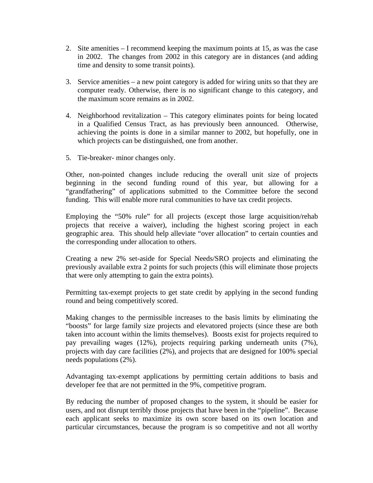- 2. Site amenities I recommend keeping the maximum points at 15, as was the case in 2002. The changes from 2002 in this category are in distances (and adding time and density to some transit points).
- 3. Service amenities a new point category is added for wiring units so that they are computer ready. Otherwise, there is no significant change to this category, and the maximum score remains as in 2002.
- 4. Neighborhood revitalization This category eliminates points for being located in a Qualified Census Tract, as has previously been announced. Otherwise, achieving the points is done in a similar manner to 2002, but hopefully, one in which projects can be distinguished, one from another.
- 5. Tie-breaker- minor changes only.

Other, non-pointed changes include reducing the overall unit size of projects beginning in the second funding round of this year, but allowing for a "grandfathering" of applications submitted to the Committee before the second funding. This will enable more rural communities to have tax credit projects.

Employing the "50% rule" for all projects (except those large acquisition/rehab projects that receive a waiver), including the highest scoring project in each geographic area. This should help alleviate "over allocation" to certain counties and the corresponding under allocation to others.

Creating a new 2% set-aside for Special Needs/SRO projects and eliminating the previously available extra 2 points for such projects (this will eliminate those projects that were only attempting to gain the extra points).

Permitting tax-exempt projects to get state credit by applying in the second funding round and being competitively scored.

Making changes to the permissible increases to the basis limits by eliminating the "boosts" for large family size projects and elevatored projects (since these are both taken into account within the limits themselves). Boosts exist for projects required to pay prevailing wages (12%), projects requiring parking underneath units (7%), projects with day care facilities (2%), and projects that are designed for 100% special needs populations (2%).

Advantaging tax-exempt applications by permitting certain additions to basis and developer fee that are not permitted in the 9%, competitive program.

By reducing the number of proposed changes to the system, it should be easier for users, and not disrupt terribly those projects that have been in the "pipeline". Because each applicant seeks to maximize its own score based on its own location and particular circumstances, because the program is so competitive and not all worthy